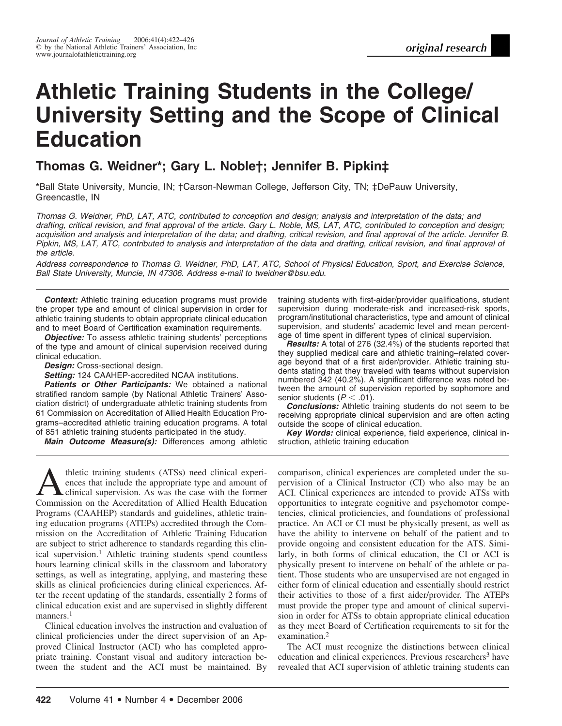# **Athletic Training Students in the College/ University Setting and the Scope of Clinical Education**

# **Thomas G. Weidner\*; Gary L. Noble†; Jennifer B. Pipkin‡**

**\***Ball State University, Muncie, IN; †Carson-Newman College, Jefferson City, TN; ‡DePauw University, Greencastle, IN

*Thomas G. Weidner, PhD, LAT, ATC, contributed to conception and design; analysis and interpretation of the data; and drafting, critical revision, and final approval of the article. Gary L. Noble, MS, LAT, ATC, contributed to conception and design; acquisition and analysis and interpretation of the data; and drafting, critical revision, and final approval of the article. Jennifer B. Pipkin, MS, LAT, ATC, contributed to analysis and interpretation of the data and drafting, critical revision, and final approval of the article.*

*Address correspondence to Thomas G. Weidner, PhD, LAT, ATC, School of Physical Education, Sport, and Exercise Science, Ball State University, Muncie, IN 47306. Address e-mail to tweidner@bsu.edu.*

*Context:* Athletic training education programs must provide the proper type and amount of clinical supervision in order for athletic training students to obtain appropriate clinical education and to meet Board of Certification examination requirements.

**Objective:** To assess athletic training students' perceptions of the type and amount of clinical supervision received during clinical education.

**Design:** Cross-sectional design.

*Setting:* 124 CAAHEP-accredited NCAA institutions.

*Patients or Other Participants:* We obtained a national stratified random sample (by National Athletic Trainers' Association district) of undergraduate athletic training students from 61 Commission on Accreditation of Allied Health Education Programs–accredited athletic training education programs. A total of 851 athletic training students participated in the study.

*Main Outcome Measure(s):* Differences among athletic

training students with first-aider/provider qualifications, student supervision during moderate-risk and increased-risk sports, program/institutional characteristics, type and amount of clinical supervision, and students' academic level and mean percentage of time spent in different types of clinical supervision.

*Results:* A total of 276 (32.4%) of the students reported that they supplied medical care and athletic training–related coverage beyond that of a first aider/provider. Athletic training students stating that they traveled with teams without supervision numbered 342 (40.2%). A significant difference was noted between the amount of supervision reported by sophomore and senior students  $(P < .01)$ .

*Conclusions:* Athletic training students do not seem to be receiving appropriate clinical supervision and are often acting outside the scope of clinical education.

*Key Words:* clinical experience, field experience, clinical instruction, athletic training education

thletic training students (ATSs) need clinical experiences that include the appropriate type and amount of clinical supervision. As was the case with the former<br>Commission on the Accreditation of Allied Health Education ences that include the appropriate type and amount of clinical supervision. As was the case with the former Commission on the Accreditation of Allied Health Education Programs (CAAHEP) standards and guidelines, athletic training education programs (ATEPs) accredited through the Commission on the Accreditation of Athletic Training Education are subject to strict adherence to standards regarding this clinical supervision.<sup>1</sup> Athletic training students spend countless hours learning clinical skills in the classroom and laboratory settings, as well as integrating, applying, and mastering these skills as clinical proficiencies during clinical experiences. After the recent updating of the standards, essentially 2 forms of clinical education exist and are supervised in slightly different manners.<sup>1</sup>

Clinical education involves the instruction and evaluation of clinical proficiencies under the direct supervision of an Approved Clinical Instructor (ACI) who has completed appropriate training. Constant visual and auditory interaction between the student and the ACI must be maintained. By

comparison, clinical experiences are completed under the supervision of a Clinical Instructor (CI) who also may be an ACI. Clinical experiences are intended to provide ATSs with opportunities to integrate cognitive and psychomotor competencies, clinical proficiencies, and foundations of professional practice. An ACI or CI must be physically present, as well as have the ability to intervene on behalf of the patient and to provide ongoing and consistent education for the ATS. Similarly, in both forms of clinical education, the CI or ACI is physically present to intervene on behalf of the athlete or patient. Those students who are unsupervised are not engaged in either form of clinical education and essentially should restrict their activities to those of a first aider/provider. The ATEPs must provide the proper type and amount of clinical supervision in order for ATSs to obtain appropriate clinical education as they meet Board of Certification requirements to sit for the examination.2

The ACI must recognize the distinctions between clinical education and clinical experiences. Previous researchers<sup>3</sup> have revealed that ACI supervision of athletic training students can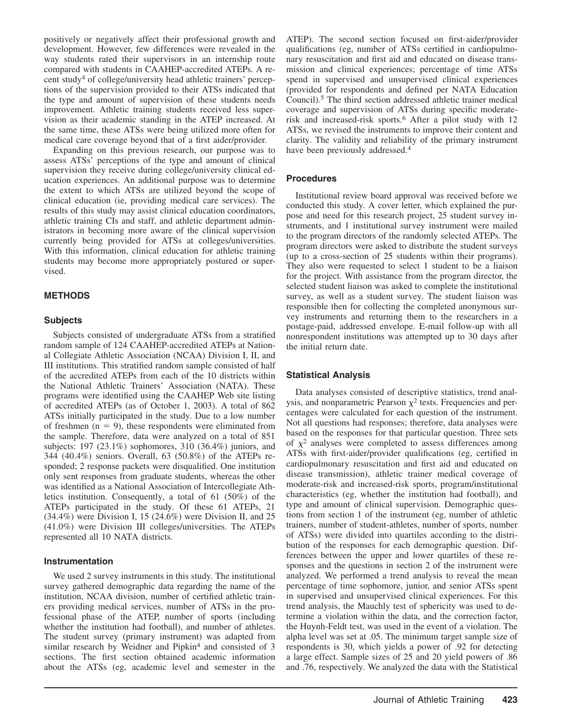positively or negatively affect their professional growth and development. However, few differences were revealed in the way students rated their supervisors in an internship route compared with students in CAAHEP-accredited ATEPs. A recent study4 of college/university head athletic trainers' perceptions of the supervision provided to their ATSs indicated that the type and amount of supervision of these students needs improvement. Athletic training students received less supervision as their academic standing in the ATEP increased. At the same time, these ATSs were being utilized more often for medical care coverage beyond that of a first aider/provider.

Expanding on this previous research, our purpose was to assess ATSs' perceptions of the type and amount of clinical supervision they receive during college/university clinical education experiences. An additional purpose was to determine the extent to which ATSs are utilized beyond the scope of clinical education (ie, providing medical care services). The results of this study may assist clinical education coordinators, athletic training CIs and staff, and athletic department administrators in becoming more aware of the clinical supervision currently being provided for ATSs at colleges/universities. With this information, clinical education for athletic training students may become more appropriately postured or supervised.

# **METHODS**

### **Subjects**

Subjects consisted of undergraduate ATSs from a stratified random sample of 124 CAAHEP-accredited ATEPs at National Collegiate Athletic Association (NCAA) Division I, II, and III institutions. This stratified random sample consisted of half of the accredited ATEPs from each of the 10 districts within the National Athletic Trainers' Association (NATA). These programs were identified using the CAAHEP Web site listing of accredited ATEPs (as of October 1, 2003). A total of 862 ATSs initially participated in the study. Due to a low number of freshmen  $(n = 9)$ , these respondents were eliminated from the sample. Therefore, data were analyzed on a total of 851 subjects: 197 (23.1%) sophomores, 310 (36.4%) juniors, and 344 (40.4%) seniors. Overall, 63 (50.8%) of the ATEPs responded; 2 response packets were disqualified. One institution only sent responses from graduate students, whereas the other was identified as a National Association of Intercollegiate Athletics institution. Consequently, a total of 61 (50%) of the ATEPs participated in the study. Of these 61 ATEPs, 21 (34.4%) were Division I, 15 (24.6%) were Division II, and 25 (41.0%) were Division III colleges/universities. The ATEPs represented all 10 NATA districts.

### **Instrumentation**

We used 2 survey instruments in this study. The institutional survey gathered demographic data regarding the name of the institution, NCAA division, number of certified athletic trainers providing medical services, number of ATSs in the professional phase of the ATEP, number of sports (including whether the institution had football), and number of athletes. The student survey (primary instrument) was adapted from similar research by Weidner and Pipkin<sup>4</sup> and consisted of 3 sections. The first section obtained academic information about the ATSs (eg, academic level and semester in the

ATEP). The second section focused on first-aider/provider qualifications (eg, number of ATSs certified in cardiopulmonary resuscitation and first aid and educated on disease transmission and clinical experiences; percentage of time ATSs spend in supervised and unsupervised clinical experiences (provided for respondents and defined per NATA Education Council).5 The third section addressed athletic trainer medical coverage and supervision of ATSs during specific moderaterisk and increased-risk sports.6 After a pilot study with 12 ATSs, we revised the instruments to improve their content and clarity. The validity and reliability of the primary instrument have been previously addressed.<sup>4</sup>

#### **Procedures**

Institutional review board approval was received before we conducted this study. A cover letter, which explained the purpose and need for this research project, 25 student survey instruments, and 1 institutional survey instrument were mailed to the program directors of the randomly selected ATEPs. The program directors were asked to distribute the student surveys (up to a cross-section of 25 students within their programs). They also were requested to select 1 student to be a liaison for the project. With assistance from the program director, the selected student liaison was asked to complete the institutional survey, as well as a student survey. The student liaison was responsible then for collecting the completed anonymous survey instruments and returning them to the researchers in a postage-paid, addressed envelope. E-mail follow-up with all nonrespondent institutions was attempted up to 30 days after the initial return date.

#### **Statistical Analysis**

Data analyses consisted of descriptive statistics, trend analysis, and nonparametric Pearson  $\chi^2$  tests. Frequencies and percentages were calculated for each question of the instrument. Not all questions had responses; therefore, data analyses were based on the responses for that particular question. Three sets of  $\chi^2$  analyses were completed to assess differences among ATSs with first-aider/provider qualifications (eg, certified in cardiopulmonary resuscitation and first aid and educated on disease transmission), athletic trainer medical coverage of moderate-risk and increased-risk sports, program/institutional characteristics (eg, whether the institution had football), and type and amount of clinical supervision. Demographic questions from section 1 of the instrument (eg, number of athletic trainers, number of student-athletes, number of sports, number of ATSs) were divided into quartiles according to the distribution of the responses for each demographic question. Differences between the upper and lower quartiles of these responses and the questions in section 2 of the instrument were analyzed. We performed a trend analysis to reveal the mean percentage of time sophomore, junior, and senior ATSs spent in supervised and unsupervised clinical experiences. For this trend analysis, the Mauchly test of sphericity was used to determine a violation within the data, and the correction factor, the Huynh-Feldt test, was used in the event of a violation. The alpha level was set at .05. The minimum target sample size of respondents is 30, which yields a power of .92 for detecting a large effect. Sample sizes of 25 and 20 yield powers of .86 and .76, respectively. We analyzed the data with the Statistical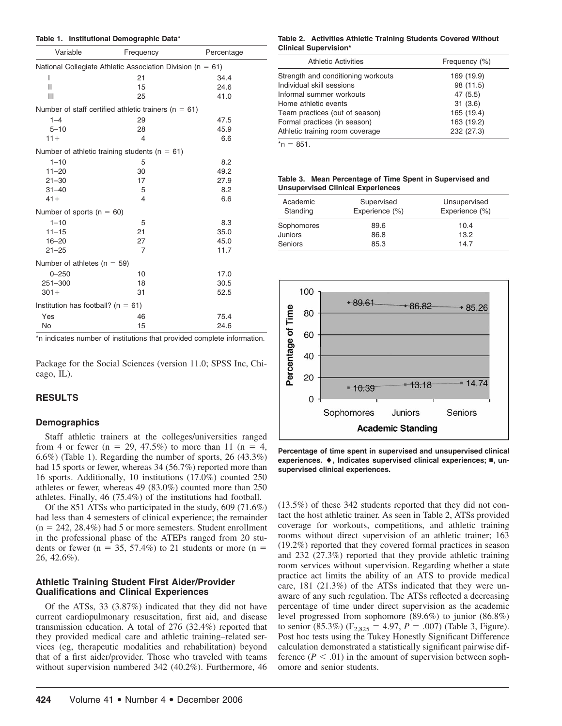|  |  | Table 1. Institutional Demographic Data* |  |
|--|--|------------------------------------------|--|
|--|--|------------------------------------------|--|

| Variable                                                       | Frequency                                                | Percentage |  |  |
|----------------------------------------------------------------|----------------------------------------------------------|------------|--|--|
| National Collegiate Athletic Association Division ( $n = 61$ ) |                                                          |            |  |  |
| I                                                              | 21                                                       | 34.4       |  |  |
| Ш                                                              | 15                                                       | 24.6       |  |  |
| Ш                                                              | 25                                                       | 41.0       |  |  |
|                                                                | Number of staff certified athletic trainers ( $n = 61$ ) |            |  |  |
| $1 - 4$                                                        | 29                                                       | 47.5       |  |  |
| $5 - 10$                                                       | 28                                                       | 45.9       |  |  |
| $11 +$                                                         | 4                                                        | 6.6        |  |  |
|                                                                | Number of athletic training students ( $n = 61$ )        |            |  |  |
| $1 - 10$                                                       | 5                                                        | 8.2        |  |  |
| $11 - 20$                                                      | 30                                                       | 49.2       |  |  |
| $21 - 30$                                                      | 17                                                       | 27.9       |  |  |
| $31 - 40$                                                      | 5                                                        | 8.2        |  |  |
| $41 +$                                                         | 4                                                        | 6.6        |  |  |
| Number of sports ( $n = 60$ )                                  |                                                          |            |  |  |
| $1 - 10$                                                       | 5                                                        | 8.3        |  |  |
| $11 - 15$                                                      | 21                                                       | 35.0       |  |  |
| $16 - 20$                                                      | 27                                                       | 45.0       |  |  |
| $21 - 25$                                                      | 7                                                        | 11.7       |  |  |
| Number of athletes ( $n = 59$ )                                |                                                          |            |  |  |
| $0 - 250$                                                      | 10                                                       | 17.0       |  |  |
| $251 - 300$                                                    | 18                                                       | 30.5       |  |  |
| $301 +$                                                        | 31                                                       | 52.5       |  |  |
| Institution has football? ( $n = 61$ )                         |                                                          |            |  |  |
| Yes                                                            | 46                                                       | 75.4       |  |  |
| No                                                             | 15                                                       | 24.6       |  |  |

\*n indicates number of institutions that provided complete information.

Package for the Social Sciences (version 11.0; SPSS Inc, Chicago, IL).

# **RESULTS**

#### **Demographics**

Staff athletic trainers at the colleges/universities ranged from 4 or fewer (n = 29, 47.5%) to more than 11 (n = 4, 6.6%) (Table 1). Regarding the number of sports, 26 (43.3%) had 15 sports or fewer, whereas 34 (56.7%) reported more than 16 sports. Additionally, 10 institutions (17.0%) counted 250 athletes or fewer, whereas 49 (83.0%) counted more than 250 athletes. Finally, 46 (75.4%) of the institutions had football.

Of the 851 ATSs who participated in the study, 609 (71.6%) had less than 4 semesters of clinical experience; the remainder  $(n = 242, 28.4\%)$  had 5 or more semesters. Student enrollment in the professional phase of the ATEPs ranged from 20 students or fewer ( $n = 35, 57.4\%$ ) to 21 students or more ( $n =$ 26, 42.6%).

# **Athletic Training Student First Aider/Provider Qualifications and Clinical Experiences**

Of the ATSs, 33 (3.87%) indicated that they did not have current cardiopulmonary resuscitation, first aid, and disease transmission education. A total of 276 (32.4%) reported that they provided medical care and athletic training–related services (eg, therapeutic modalities and rehabilitation) beyond that of a first aider/provider. Those who traveled with teams without supervision numbered 342 (40.2%). Furthermore, 46

#### **Table 2. Activities Athletic Training Students Covered Without Clinical Supervision\***

| <b>Athletic Activities</b>         | Frequency (%) |
|------------------------------------|---------------|
| Strength and conditioning workouts | 169 (19.9)    |
| Individual skill sessions          | 98 (11.5)     |
| Informal summer workouts           | 47(5.5)       |
| Home athletic events               | 31(3.6)       |
| Team practices (out of season)     | 165 (19.4)    |
| Formal practices (in season)       | 163 (19.2)    |
| Athletic training room coverage    | 232 (27.3)    |

 $*_{n} = 851.$ 

#### **Table 3. Mean Percentage of Time Spent in Supervised and Unsupervised Clinical Experiences**

| Academic<br>Standing | Supervised<br>Experience (%) | Unsupervised<br>Experience (%) |
|----------------------|------------------------------|--------------------------------|
| Sophomores           | 89.6                         | 10.4                           |
| Juniors              | 86.8                         | 13.2                           |
| Seniors              | 85.3                         | 14.7                           |



**Percentage of time spent in supervised and unsupervised clinical** experiences. ♦, Indicates supervised clinical experiences; ■, un**supervised clinical experiences.**

(13.5%) of these 342 students reported that they did not contact the host athletic trainer. As seen in Table 2, ATSs provided coverage for workouts, competitions, and athletic training rooms without direct supervision of an athletic trainer; 163 (19.2%) reported that they covered formal practices in season and 232 (27.3%) reported that they provide athletic training room services without supervision. Regarding whether a state practice act limits the ability of an ATS to provide medical care, 181 (21.3%) of the ATSs indicated that they were unaware of any such regulation. The ATSs reflected a decreasing percentage of time under direct supervision as the academic level progressed from sophomore (89.6%) to junior (86.8%) to senior (85.3%) ( $F_{2,825} = 4.97$ ,  $P = .007$ ) (Table 3, Figure). Post hoc tests using the Tukey Honestly Significant Difference calculation demonstrated a statistically significant pairwise difference  $(P < .01)$  in the amount of supervision between sophomore and senior students.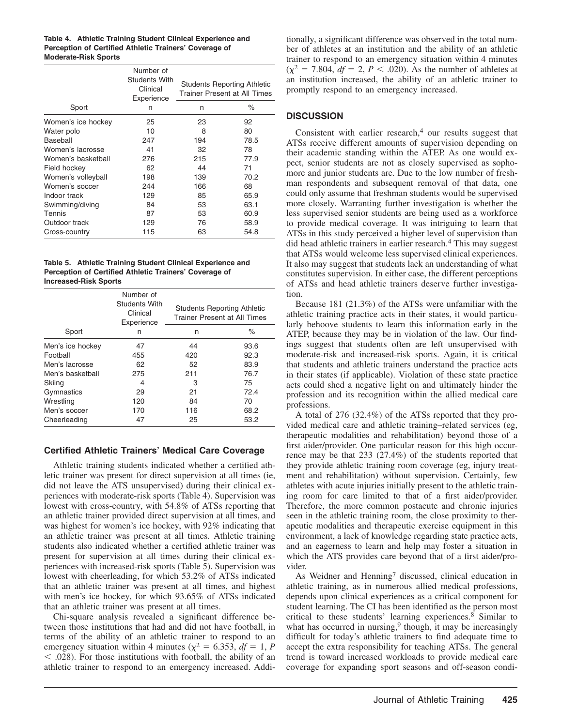| Table 4. Athletic Training Student Clinical Experience and |
|------------------------------------------------------------|
| Perception of Certified Athletic Trainers' Coverage of     |
| <b>Moderate-Risk Sports</b>                                |

|                    | Number of<br><b>Students With</b><br>Clinical<br>Experience |     | <b>Students Reporting Athletic</b><br><b>Trainer Present at All Times</b> |
|--------------------|-------------------------------------------------------------|-----|---------------------------------------------------------------------------|
| Sport              | n                                                           | n   | $\%$                                                                      |
| Women's ice hockey | 25                                                          | 23  | 92                                                                        |
| Water polo         | 10                                                          | 8   | 80                                                                        |
| Baseball           | 247                                                         | 194 | 78.5                                                                      |
| Women's lacrosse   | 41                                                          | 32  | 78                                                                        |
| Women's basketball | 276                                                         | 215 | 77.9                                                                      |
| Field hockey       | 62                                                          | 44  | 71                                                                        |
| Women's volleyball | 198                                                         | 139 | 70.2                                                                      |
| Women's soccer     | 244                                                         | 166 | 68                                                                        |
| Indoor track       | 129                                                         | 85  | 65.9                                                                      |
| Swimming/diving    | 84                                                          | 53  | 63.1                                                                      |
| Tennis             | 87                                                          | 53  | 60.9                                                                      |
| Outdoor track      | 129                                                         | 76  | 58.9                                                                      |
| Cross-country      | 115                                                         | 63  | 54.8                                                                      |

|                                                        | Table 5. Athletic Training Student Clinical Experience and |  |  |
|--------------------------------------------------------|------------------------------------------------------------|--|--|
| Perception of Certified Athletic Trainers' Coverage of |                                                            |  |  |
| <b>Increased-Risk Sports</b>                           |                                                            |  |  |

|                  | Number of<br><b>Students With</b><br>Clinical<br>Experience | <b>Students Reporting Athletic</b><br><b>Trainer Present at All Times</b> |      |
|------------------|-------------------------------------------------------------|---------------------------------------------------------------------------|------|
| Sport            | n                                                           | n                                                                         | $\%$ |
| Men's ice hockey | 47                                                          | 44                                                                        | 93.6 |
| Football         | 455                                                         | 420                                                                       | 92.3 |
| Men's lacrosse   | 62                                                          | 52                                                                        | 83.9 |
| Men's basketball | 275                                                         | 211                                                                       | 76.7 |
| Skiing           | 4                                                           | з                                                                         | 75   |
| Gymnastics       | 29                                                          | 21                                                                        | 72.4 |
| Wrestling        | 120                                                         | 84                                                                        | 70   |
| Men's soccer     | 170                                                         | 116                                                                       | 68.2 |
| Cheerleading     | 47                                                          | 25                                                                        | 53.2 |

# **Certified Athletic Trainers' Medical Care Coverage**

Athletic training students indicated whether a certified athletic trainer was present for direct supervision at all times (ie, did not leave the ATS unsupervised) during their clinical experiences with moderate-risk sports (Table 4). Supervision was lowest with cross-country, with 54.8% of ATSs reporting that an athletic trainer provided direct supervision at all times, and was highest for women's ice hockey, with 92% indicating that an athletic trainer was present at all times. Athletic training students also indicated whether a certified athletic trainer was present for supervision at all times during their clinical experiences with increased-risk sports (Table 5). Supervision was lowest with cheerleading, for which 53.2% of ATSs indicated that an athletic trainer was present at all times, and highest with men's ice hockey, for which 93.65% of ATSs indicated that an athletic trainer was present at all times.

Chi-square analysis revealed a significant difference between those institutions that had and did not have football, in terms of the ability of an athletic trainer to respond to an emergency situation within 4 minutes ( $\chi^2 = 6.353$ ,  $df = 1$ , *P* - .028). For those institutions with football, the ability of an athletic trainer to respond to an emergency increased. Addi-

tionally, a significant difference was observed in the total number of athletes at an institution and the ability of an athletic trainer to respond to an emergency situation within 4 minutes  $(\chi^2 = 7.804, df = 2, P < .020)$ . As the number of athletes at an institution increased, the ability of an athletic trainer to promptly respond to an emergency increased.

# **DISCUSSION**

Consistent with earlier research, $4$  our results suggest that ATSs receive different amounts of supervision depending on their academic standing within the ATEP. As one would expect, senior students are not as closely supervised as sophomore and junior students are. Due to the low number of freshman respondents and subsequent removal of that data, one could only assume that freshman students would be supervised more closely. Warranting further investigation is whether the less supervised senior students are being used as a workforce to provide medical coverage. It was intriguing to learn that ATSs in this study perceived a higher level of supervision than did head athletic trainers in earlier research.<sup>4</sup> This may suggest that ATSs would welcome less supervised clinical experiences. It also may suggest that students lack an understanding of what constitutes supervision. In either case, the different perceptions of ATSs and head athletic trainers deserve further investigation.

Because 181 (21.3%) of the ATSs were unfamiliar with the athletic training practice acts in their states, it would particularly behoove students to learn this information early in the ATEP, because they may be in violation of the law. Our findings suggest that students often are left unsupervised with moderate-risk and increased-risk sports. Again, it is critical that students and athletic trainers understand the practice acts in their states (if applicable). Violation of these state practice acts could shed a negative light on and ultimately hinder the profession and its recognition within the allied medical care professions.

A total of 276 (32.4%) of the ATSs reported that they provided medical care and athletic training–related services (eg, therapeutic modalities and rehabilitation) beyond those of a first aider/provider. One particular reason for this high occurrence may be that 233 (27.4%) of the students reported that they provide athletic training room coverage (eg, injury treatment and rehabilitation) without supervision. Certainly, few athletes with acute injuries initially present to the athletic training room for care limited to that of a first aider/provider. Therefore, the more common postacute and chronic injuries seen in the athletic training room, the close proximity to therapeutic modalities and therapeutic exercise equipment in this environment, a lack of knowledge regarding state practice acts, and an eagerness to learn and help may foster a situation in which the ATS provides care beyond that of a first aider/provider.

As Weidner and Henning<sup>7</sup> discussed, clinical education in athletic training, as in numerous allied medical professions, depends upon clinical experiences as a critical component for student learning. The CI has been identified as the person most critical to these students' learning experiences.8 Similar to what has occurred in nursing, $9$  though, it may be increasingly difficult for today's athletic trainers to find adequate time to accept the extra responsibility for teaching ATSs. The general trend is toward increased workloads to provide medical care coverage for expanding sport seasons and off-season condi-